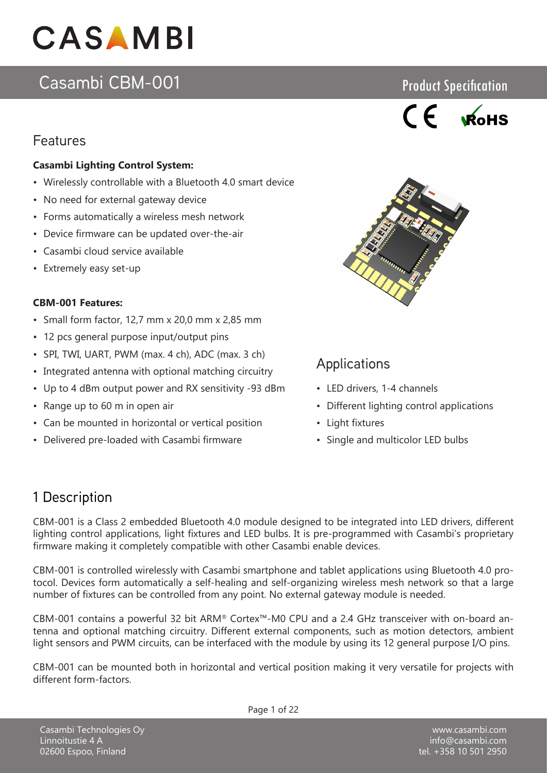## Casambi CBM-001

## Features

#### **Casambi Lighting Control System:**

- Wirelessly controllable with a Bluetooth 4.0 smart device
- No need for external gateway device
- Forms automatically a wireless mesh network
- Device firmware can be updated over-the-air
- Casambi cloud service available
- Extremely easy set-up

#### **CBM-001 Features:**

- Small form factor, 12,7 mm x 20,0 mm x 2,85 mm
- 12 pcs general purpose input/output pins
- SPI, TWI, UART, PWM (max. 4 ch), ADC (max. 3 ch)
- Integrated antenna with optional matching circuitry
- Up to 4 dBm output power and RX sensitivity -93 dBm
- Range up to 60 m in open air
- Can be mounted in horizontal or vertical position
- Delivered pre-loaded with Casambi firmware



Product Specification



## **Applications**

- LED drivers, 1-4 channels
- Different lighting control applications
- Light fixtures
- Single and multicolor LED bulbs

## 1 Description

CBM-001 is a Class 2 embedded Bluetooth 4.0 module designed to be integrated into LED drivers, different lighting control applications, light fixtures and LED bulbs. It is pre-programmed with Casambi's proprietary firmware making it completely compatible with other Casambi enable devices.

CBM-001 is controlled wirelessly with Casambi smartphone and tablet applications using Bluetooth 4.0 protocol. Devices form automatically a self-healing and self-organizing wireless mesh network so that a large number of fixtures can be controlled from any point. No external gateway module is needed.

CBM-001 contains a powerful 32 bit ARM® Cortex™-M0 CPU and a 2.4 GHz transceiver with on-board antenna and optional matching circuitry. Different external components, such as motion detectors, ambient light sensors and PWM circuits, can be interfaced with the module by using its 12 general purpose I/O pins.

CBM-001 can be mounted both in horizontal and vertical position making it very versatile for projects with different form-factors.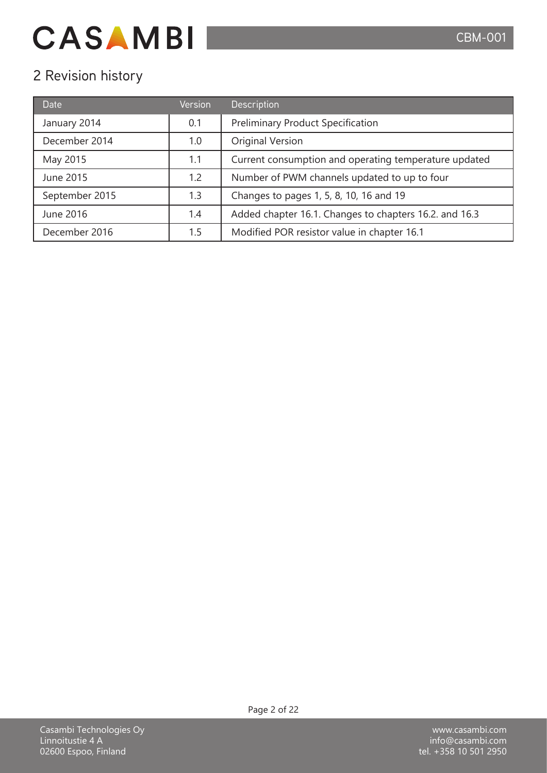## 2 Revision history

| <b>Date</b>    | Version | Description                                            |
|----------------|---------|--------------------------------------------------------|
| January 2014   | 0.1     | <b>Preliminary Product Specification</b>               |
| December 2014  | 1.0     | Original Version                                       |
| May 2015       | 1.1     | Current consumption and operating temperature updated  |
| June 2015      | 1.2     | Number of PWM channels updated to up to four           |
| September 2015 | 1.3     | Changes to pages 1, 5, 8, 10, 16 and 19                |
| June 2016      | 1.4     | Added chapter 16.1. Changes to chapters 16.2. and 16.3 |
| December 2016  | 1.5     | Modified POR resistor value in chapter 16.1            |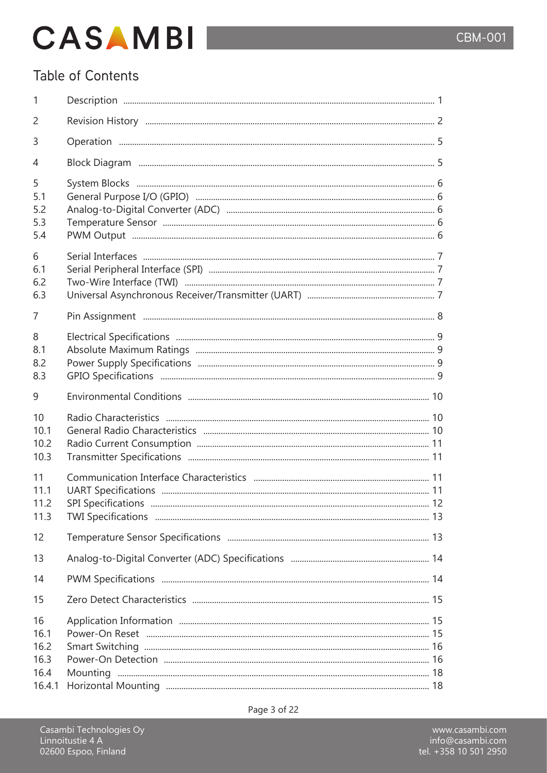## Table of Contents

| 1                                            |                           |  |
|----------------------------------------------|---------------------------|--|
| 2                                            |                           |  |
| 3                                            |                           |  |
| 4                                            |                           |  |
| 5<br>5.1<br>5.2<br>5.3<br>5.4                |                           |  |
| 6<br>6.1<br>6.2<br>6.3                       |                           |  |
| 7                                            |                           |  |
| 8<br>8.1<br>8.2<br>8.3                       |                           |  |
| 9                                            |                           |  |
| 10<br>10.1<br>10.2<br>10.3                   |                           |  |
| 11<br>11.1<br>11.2<br>11.3                   | <b>SPI Specifications</b> |  |
| 12                                           |                           |  |
| 13                                           |                           |  |
| 14                                           |                           |  |
| 15                                           |                           |  |
| 16<br>16.1<br>16.2<br>16.3<br>16.4<br>16.4.1 |                           |  |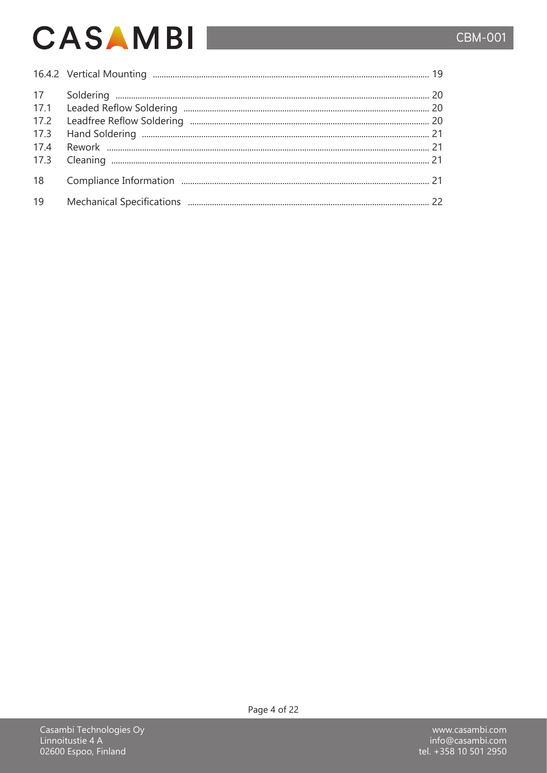## **CBM-001**

# **CASAMBI**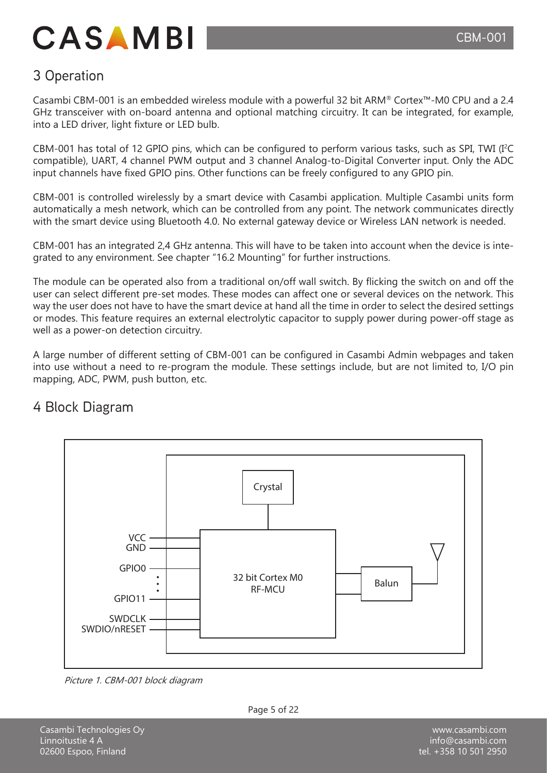## 3 Operation

Casambi CBM-001 is an embedded wireless module with a powerful 32 bit ARM® Cortex™-M0 CPU and a 2.4 GHz transceiver with on-board antenna and optional matching circuitry. It can be integrated, for example, into a LED driver, light fixture or LED bulb.

CBM-001 has total of 12 GPIO pins, which can be configured to perform various tasks, such as SPI, TWI (I<sup>2</sup>C compatible), UART, 4 channel PWM output and 3 channel Analog-to-Digital Converter input. Only the ADC input channels have fixed GPIO pins. Other functions can be freely configured to any GPIO pin.

CBM-001 is controlled wirelessly by a smart device with Casambi application. Multiple Casambi units form automatically a mesh network, which can be controlled from any point. The network communicates directly with the smart device using Bluetooth 4.0. No external gateway device or Wireless LAN network is needed.

CBM-001 has an integrated 2,4 GHz antenna. This will have to be taken into account when the device is integrated to any environment. See chapter "16.2 Mounting" for further instructions.

The module can be operated also from a traditional on/off wall switch. By flicking the switch on and off the user can select different pre-set modes. These modes can affect one or several devices on the network. This way the user does not have to have the smart device at hand all the time in order to select the desired settings or modes. This feature requires an external electrolytic capacitor to supply power during power-off stage as well as a power-on detection circuitry.

A large number of different setting of CBM-001 can be configured in Casambi Admin webpages and taken into use without a need to re-program the module. These settings include, but are not limited to, I/O pin mapping, ADC, PWM, push button, etc.

## 4 Block Diagram



Picture 1. CBM-001 block diagram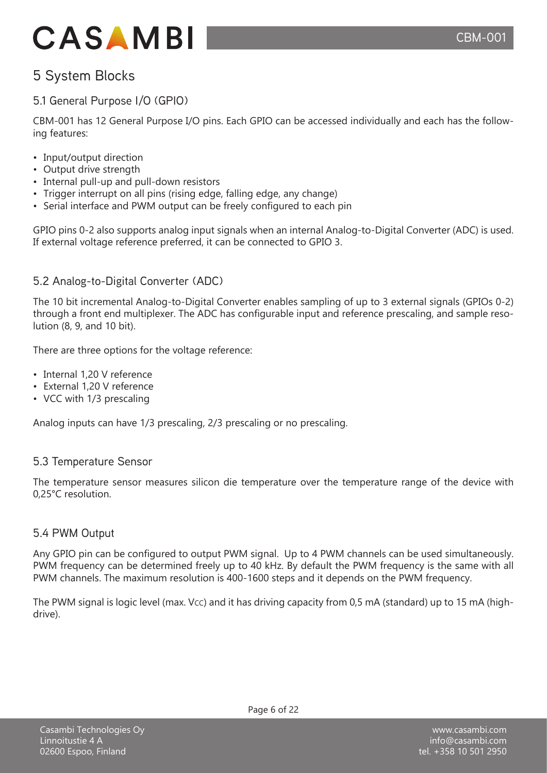## 5 System Blocks

### 5.1 General Purpose I/O (GPIO)

CBM-001 has 12 General Purpose I/O pins. Each GPIO can be accessed individually and each has the following features:

- Input/output direction
- Output drive strength
- Internal pull-up and pull-down resistors
- Trigger interrupt on all pins (rising edge, falling edge, any change)
- Serial interface and PWM output can be freely configured to each pin

GPIO pins 0-2 also supports analog input signals when an internal Analog-to-Digital Converter (ADC) is used. If external voltage reference preferred, it can be connected to GPIO 3.

### 5.2 Analog-to-Digital Converter (ADC)

The 10 bit incremental Analog-to-Digital Converter enables sampling of up to 3 external signals (GPIOs 0-2) through a front end multiplexer. The ADC has configurable input and reference prescaling, and sample resolution (8, 9, and 10 bit).

There are three options for the voltage reference:

- Internal 1,20 V reference
- External 1,20 V reference
- VCC with 1/3 prescaling

Analog inputs can have 1/3 prescaling, 2/3 prescaling or no prescaling.

#### 5.3 Temperature Sensor

The temperature sensor measures silicon die temperature over the temperature range of the device with 0,25°C resolution.

#### 5.4 PWM Output

Any GPIO pin can be configured to output PWM signal. Up to 4 PWM channels can be used simultaneously. PWM frequency can be determined freely up to 40 kHz. By default the PWM frequency is the same with all PWM channels. The maximum resolution is 400-1600 steps and it depends on the PWM frequency.

The PWM signal is logic level (max. Vcc) and it has driving capacity from 0,5 mA (standard) up to 15 mA (highdrive).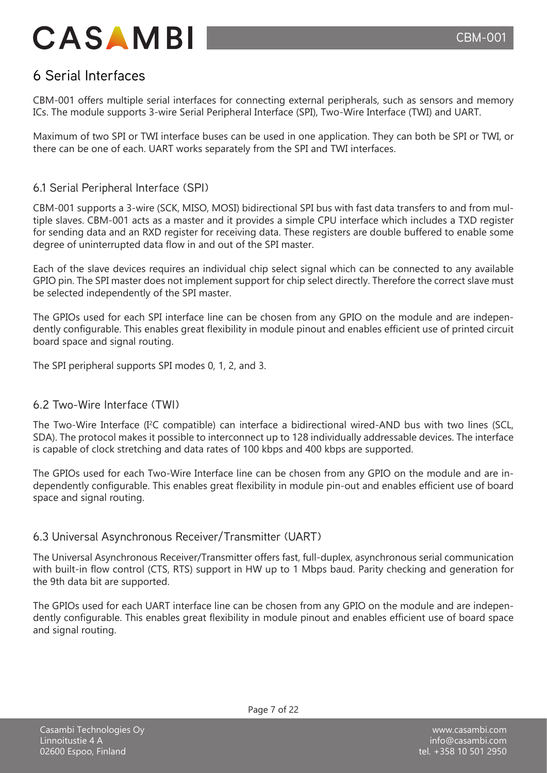## 6 Serial Interfaces

CBM-001 offers multiple serial interfaces for connecting external peripherals, such as sensors and memory ICs. The module supports 3-wire Serial Peripheral Interface (SPI), Two-Wire Interface (TWI) and UART.

Maximum of two SPI or TWI interface buses can be used in one application. They can both be SPI or TWI, or there can be one of each. UART works separately from the SPI and TWI interfaces.

#### 6.1 Serial Peripheral Interface (SPI)

CBM-001 supports a 3-wire (SCK, MISO, MOSI) bidirectional SPI bus with fast data transfers to and from multiple slaves. CBM-001 acts as a master and it provides a simple CPU interface which includes a TXD register for sending data and an RXD register for receiving data. These registers are double buffered to enable some degree of uninterrupted data flow in and out of the SPI master.

Each of the slave devices requires an individual chip select signal which can be connected to any available GPIO pin. The SPI master does not implement support for chip select directly. Therefore the correct slave must be selected independently of the SPI master.

The GPIOs used for each SPI interface line can be chosen from any GPIO on the module and are independently configurable. This enables great flexibility in module pinout and enables efficient use of printed circuit board space and signal routing.

The SPI peripheral supports SPI modes 0, 1, 2, and 3.

#### 6.2 Two-Wire Interface (TWI)

The Two-Wire Interface (I<sup>2</sup>C compatible) can interface a bidirectional wired-AND bus with two lines (SCL, SDA). The protocol makes it possible to interconnect up to 128 individually addressable devices. The interface is capable of clock stretching and data rates of 100 kbps and 400 kbps are supported.

The GPIOs used for each Two-Wire Interface line can be chosen from any GPIO on the module and are independently configurable. This enables great flexibility in module pin-out and enables efficient use of board space and signal routing.

#### 6.3 Universal Asynchronous Receiver/Transmitter (UART)

The Universal Asynchronous Receiver/Transmitter offers fast, full-duplex, asynchronous serial communication with built-in flow control (CTS, RTS) support in HW up to 1 Mbps baud. Parity checking and generation for the 9th data bit are supported.

The GPIOs used for each UART interface line can be chosen from any GPIO on the module and are independently configurable. This enables great flexibility in module pinout and enables efficient use of board space and signal routing.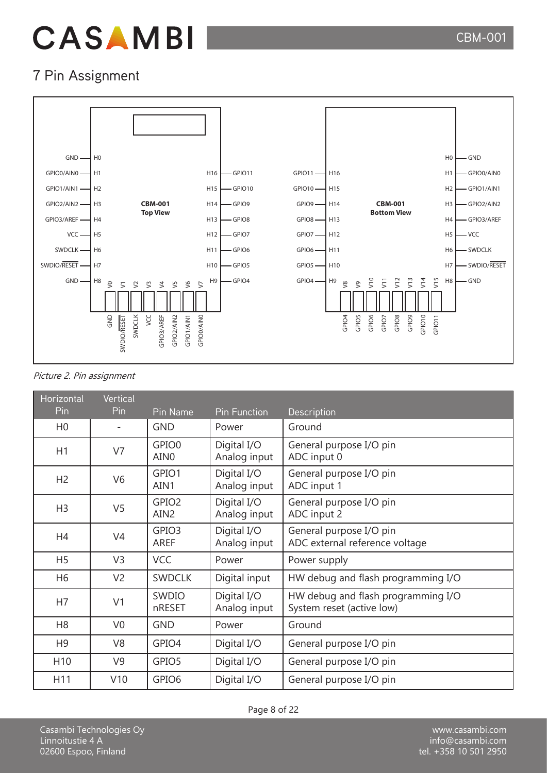

## 7 Pin Assignment



#### Picture 2. Pin assignment

| <b>Horizontal</b> | Vertical       |                                       |                             |                                                                 |
|-------------------|----------------|---------------------------------------|-----------------------------|-----------------------------------------------------------------|
| Pin               | Pin            | Pin Name                              | <b>Pin Function</b>         | Description                                                     |
| H <sub>0</sub>    |                | <b>GND</b>                            | Power                       | Ground                                                          |
| H1                | V7             | GPIO0<br>AIN <sub>0</sub>             | Digital I/O<br>Analog input | General purpose I/O pin<br>ADC input 0                          |
| H <sub>2</sub>    | V <sub>6</sub> | GPIO1<br>AIN1                         | Digital I/O<br>Analog input | General purpose I/O pin<br>ADC input 1                          |
| H <sub>3</sub>    | V <sub>5</sub> | GPIO <sub>2</sub><br>AIN <sub>2</sub> | Digital I/O<br>Analog input | General purpose I/O pin<br>ADC input 2                          |
| H <sub>4</sub>    | V <sub>4</sub> | GPIO <sub>3</sub><br><b>AREF</b>      | Digital I/O<br>Analog input | General purpose I/O pin<br>ADC external reference voltage       |
| H <sub>5</sub>    | V <sub>3</sub> | <b>VCC</b>                            | Power                       | Power supply                                                    |
| H <sub>6</sub>    | V <sub>2</sub> | <b>SWDCLK</b>                         | Digital input               | HW debug and flash programming I/O                              |
| H7                | V <sub>1</sub> | <b>SWDIO</b><br>nRESET                | Digital I/O<br>Analog input | HW debug and flash programming I/O<br>System reset (active low) |
| H <sub>8</sub>    | V <sub>0</sub> | <b>GND</b>                            | Power                       | Ground                                                          |
| H <sub>9</sub>    | V <sub>8</sub> | GPIO4                                 | Digital I/O                 | General purpose I/O pin                                         |
| H <sub>10</sub>   | V <sub>9</sub> | GPIO5                                 | Digital I/O                 | General purpose I/O pin                                         |
| H11               | V10            | GPIO <sub>6</sub>                     | Digital I/O                 | General purpose I/O pin                                         |

Casambi Technologies Oy Linnoitustie 4 A 02600 Espoo, Finland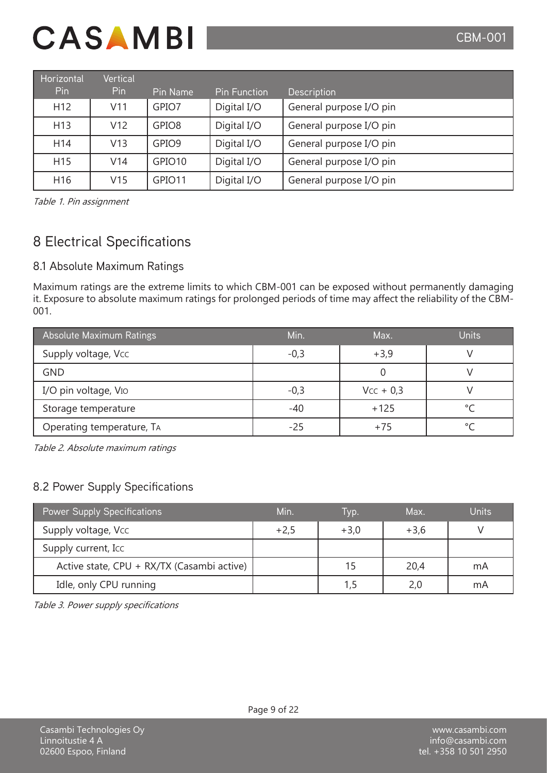| Horizontal      | Vertical        |                    |                     |                         |
|-----------------|-----------------|--------------------|---------------------|-------------------------|
| <b>Pin</b>      | <b>Pin</b>      | Pin Name           | <b>Pin Function</b> | <b>Description</b>      |
| H <sub>12</sub> | V11             | GPIO7              | Digital I/O         | General purpose I/O pin |
| H <sub>13</sub> | V <sub>12</sub> | GPIO <sub>8</sub>  | Digital I/O         | General purpose I/O pin |
| H <sub>14</sub> | V13             | GPIO <sub>9</sub>  | Digital I/O         | General purpose I/O pin |
| H <sub>15</sub> | V <sub>14</sub> | GPIO <sub>10</sub> | Digital I/O         | General purpose I/O pin |
| H <sub>16</sub> | V15             | GPIO <sub>11</sub> | Digital I/O         | General purpose I/O pin |

Table 1. Pin assignment

## 8 Electrical Specifications

### 8.1 Absolute Maximum Ratings

Maximum ratings are the extreme limits to which CBM-001 can be exposed without permanently damaging it. Exposure to absolute maximum ratings for prolonged periods of time may affect the reliability of the CBM-001.

| Absolute Maximum Ratings  | Min.   | Max.        | Units   |
|---------------------------|--------|-------------|---------|
| Supply voltage, Vcc       | $-0,3$ | $+3,9$      |         |
| <b>GND</b>                |        |             |         |
| I/O pin voltage, VIO      | $-0,3$ | $Vcc + 0.3$ |         |
| Storage temperature       | -40    | $+125$      |         |
| Operating temperature, TA | $-25$  | $+75$       | $\circ$ |

Table 2. Absolute maximum ratings

### 8.2 Power Supply Specifications

| <b>Power Supply Specifications</b>         | Min.   | Ivp.   | Max.   | <b>Units</b> |
|--------------------------------------------|--------|--------|--------|--------------|
| Supply voltage, Vcc                        | $+2,5$ | $+3,0$ | $+3,6$ |              |
| Supply current, Icc                        |        |        |        |              |
| Active state, CPU + RX/TX (Casambi active) |        | 15     | 20,4   | mA           |
| Idle, only CPU running                     |        |        |        | mA           |

Table 3. Power supply specifications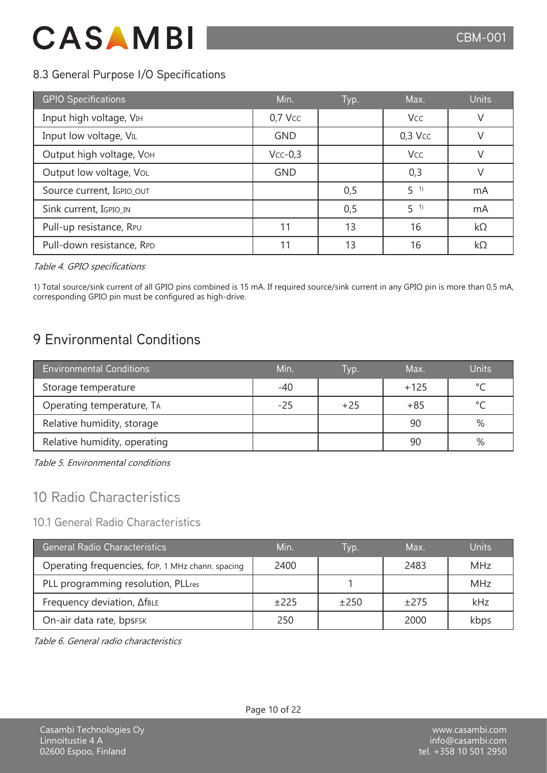### 8.3 General Purpose I/O Specifications

| <b>GPIO Specifications</b> | Min.       | Typ. | Max.       | <b>Units</b> |
|----------------------------|------------|------|------------|--------------|
| Input high voltage, VIH    | $0,7$ Vcc  |      | <b>Vcc</b> | $\vee$       |
| Input low voltage, VIL     | <b>GND</b> |      | $0,3$ Vcc  | $\vee$       |
| Output high voltage, VOH   | $Vcc-0,3$  |      | Vcc        | $\vee$       |
| Output low voltage, VoL    | <b>GND</b> |      | 0,3        |              |
| Source current, IGPIO_OUT  |            | 0,5  | $5^{1}$    | mA           |
| Sink current, IGPIO_IN     |            | 0,5  | $5^{1}$    | mA           |
| Pull-up resistance, RPU    | 11         | 13   | 16         | $k\Omega$    |
| Pull-down resistance, RPD  | 11         | 13   | 16         | kΩ           |

Table 4. GPIO specifications

1) Total source/sink current of all GPIO pins combined is 15 mA. If required source/sink current in any GPIO pin is more than 0,5 mA, corresponding GPIO pin must be configured as high-drive.

## 9 Environmental Conditions

| <b>Environmental Conditions</b> | Min.  | l vp. | Max.   | Units   |
|---------------------------------|-------|-------|--------|---------|
| Storage temperature             | $-40$ |       | $+125$ | $\circ$ |
| Operating temperature, TA       | $-25$ | $+25$ | $+85$  | $\sim$  |
| Relative humidity, storage      |       |       | 90     | %       |
| Relative humidity, operating    |       |       | 90     | %       |

Table 5. Environmental conditions

## 10 Radio Characteristics

#### 10.1 General Radio Characteristics

| <b>General Radio Characteristics</b>             | Min.   | Ivp.   | Max.   | <b>Units</b> |
|--------------------------------------------------|--------|--------|--------|--------------|
| Operating frequencies, fop, 1 MHz chann. spacing | 2400   |        | 2483   | <b>MHz</b>   |
| PLL programming resolution, PLLres               |        |        |        | <b>MHz</b>   |
| Frequency deviation, AfBLE                       | $+225$ | $+250$ | $+275$ | kHz          |
| On-air data rate, bpsFSK                         | 250    |        | 2000   | kbps         |

Table 6. General radio characteristics

Linnoitustie 4 A 02600 Espoo, Finland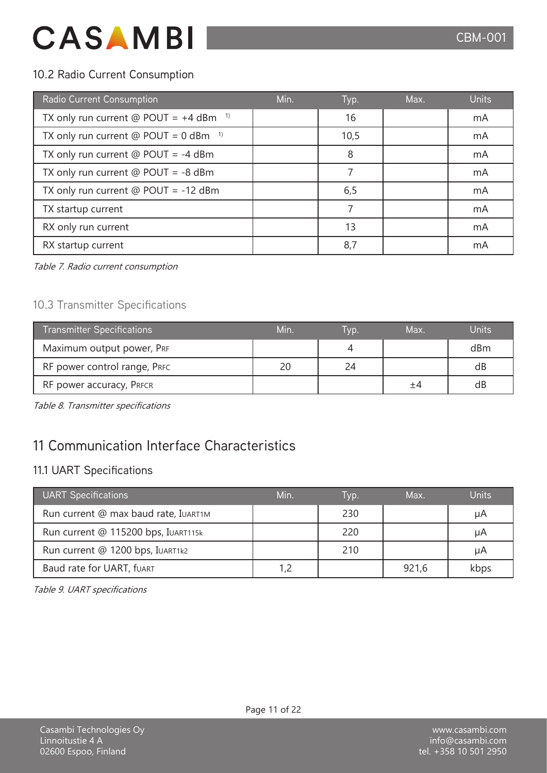### 10.2 Radio Current Consumption

| Radio Current Consumption                           | Min. | Typ. | Max. | <b>Units</b> |
|-----------------------------------------------------|------|------|------|--------------|
| TX only run current @ POUT = $+4$ dBm <sup>1)</sup> |      | 16   |      | mA           |
| TX only run current $@$ POUT = 0 dBm $1)$           |      | 10,5 |      | mA           |
| TX only run current $@$ POUT = -4 dBm               |      | 8    |      | mA           |
| TX only run current $@$ POUT = -8 dBm               |      |      |      | mA           |
| TX only run current $@$ POUT = -12 dBm              |      | 6,5  |      | mA           |
| TX startup current                                  |      |      |      | mA           |
| RX only run current                                 |      | 13   |      | mA           |
| RX startup current                                  |      | 8,7  |      | mA           |

Table 7. Radio current consumption

### 10.3 Transmitter Specifications

| <b>Transmitter Specifications</b> | Min. | IVD. | Max. | Units |
|-----------------------------------|------|------|------|-------|
| Maximum output power, PRF         |      |      |      | dBm   |
| RF power control range, PRFC      |      | 24   |      | dB    |
| RF power accuracy, PRFCR          |      |      |      | dB    |

Table 8. Transmitter specifications

## 11 Communication Interface Characteristics

### 11.1 UART Specifications

| <b>UART Specifications</b>           | Min. | Tvp. | Max.  | <b>Units</b> |
|--------------------------------------|------|------|-------|--------------|
| Run current @ max baud rate, IUART1M |      | 230  |       | μA           |
| Run current @ 115200 bps, IUART115k  |      | 220  |       | μA           |
| Run current @ 1200 bps, IUART1k2     |      | 210  |       | μA           |
| Baud rate for UART, fUART            |      |      | 921,6 | kbps         |

Table 9. UART specifications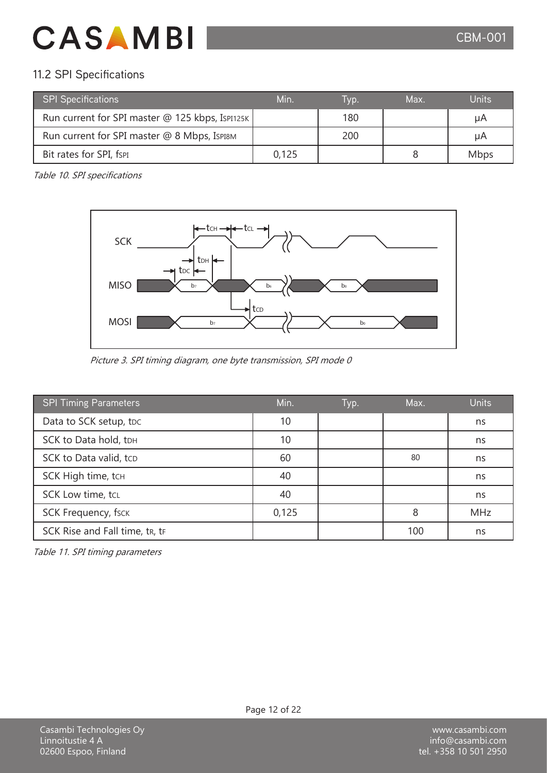### 11.2 SPI Specifications

| <b>SPI Specifications</b>                       | Min   | Ivp. | Max. | Units       |
|-------------------------------------------------|-------|------|------|-------------|
| Run current for SPI master @ 125 kbps, Isp1125K |       | 180  |      | μA          |
| Run current for SPI master @ 8 Mbps, ISPI8M     |       | 200  |      | μA          |
| Bit rates for SPI, fsPI                         | 0,125 |      |      | <b>Mbps</b> |

Table 10. SPI specifications



Picture 3. SPI timing diagram, one byte transmission, SPI mode 0

| <b>SPI Timing Parameters</b>   | Min.  | Typ. | Max. | <b>Units</b> |
|--------------------------------|-------|------|------|--------------|
| Data to SCK setup, tpc         | 10    |      |      | ns           |
| SCK to Data hold, tDH          | 10    |      |      | ns           |
| SCK to Data valid, tcp         | 60    |      | 80   | ns           |
| SCK High time, tcH             | 40    |      |      | ns           |
| <b>SCK Low time, tcL</b>       | 40    |      |      | ns           |
| <b>SCK Frequency, fsck</b>     | 0,125 |      | 8    | <b>MHz</b>   |
| SCK Rise and Fall time, tr, tr |       |      | 100  | ns           |

Table 11. SPI timing parameters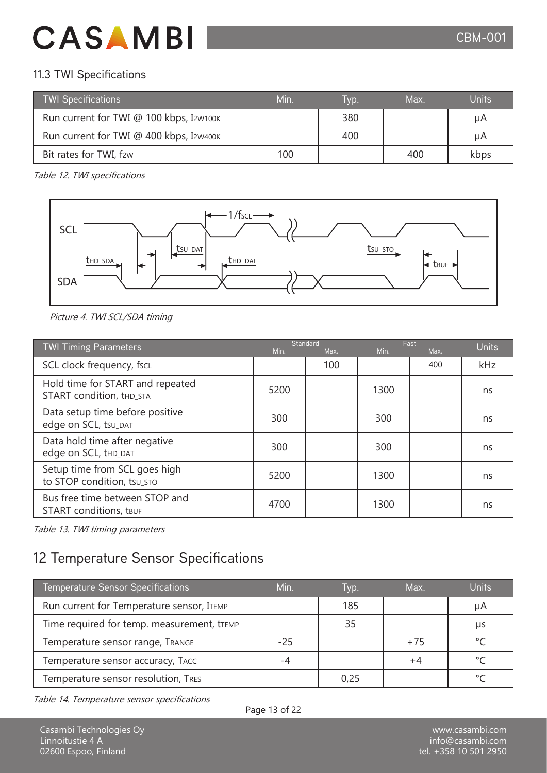### 11.3 TWI Specifications

| <b>TWI Specifications</b>               | Min <sup>'</sup> | Tvp. | Max. | <b>Units</b> |
|-----------------------------------------|------------------|------|------|--------------|
| Run current for TWI @ 100 kbps, I2w100к |                  | 380  |      | μA           |
| Run current for TWI @ 400 kbps, I2w400к |                  | 400  |      | μA           |
| Bit rates for TWI, f2w                  | 100              |      | 400  | kbps         |

Table 12. TWI specifications



Picture 4. TWI SCL/SDA timing

| <b>TWI Timing Parameters</b>                                    | Min. | <b>Standard</b><br>Max. | Min. | Fast<br>Max. | <b>Units</b> |
|-----------------------------------------------------------------|------|-------------------------|------|--------------|--------------|
| SCL clock frequency, fscL                                       |      | 100                     |      | 400          | kHz          |
| Hold time for START and repeated<br>START condition, thd_STA    | 5200 |                         | 1300 |              | ns           |
| Data setup time before positive<br>edge on SCL, tsu_DAT         | 300  |                         | 300  |              | ns           |
| Data hold time after negative<br>edge on SCL, tHD_DAT           | 300  |                         | 300  |              | ns           |
| Setup time from SCL goes high<br>to STOP condition, tsu_sto     | 5200 |                         | 1300 |              | ns           |
| Bus free time between STOP and<br><b>START</b> conditions, tBUF | 4700 |                         | 1300 |              | ns           |

Table 13. TWI timing parameters

## 12 Temperature Sensor Specifications

| <b>Temperature Sensor Specifications</b>   | Min.  | lyp. | Max.  | <b>Units</b> |
|--------------------------------------------|-------|------|-------|--------------|
| Run current for Temperature sensor, ITEMP  |       | 185  |       | μA           |
| Time required for temp. measurement, tTEMP |       |      |       | μs           |
| Temperature sensor range, TRANGE           | $-25$ |      | $+75$ |              |
| Temperature sensor accuracy, TACC          |       |      |       |              |
| Temperature sensor resolution, TRES        |       |      |       |              |

Table 14. Temperature sensor specifications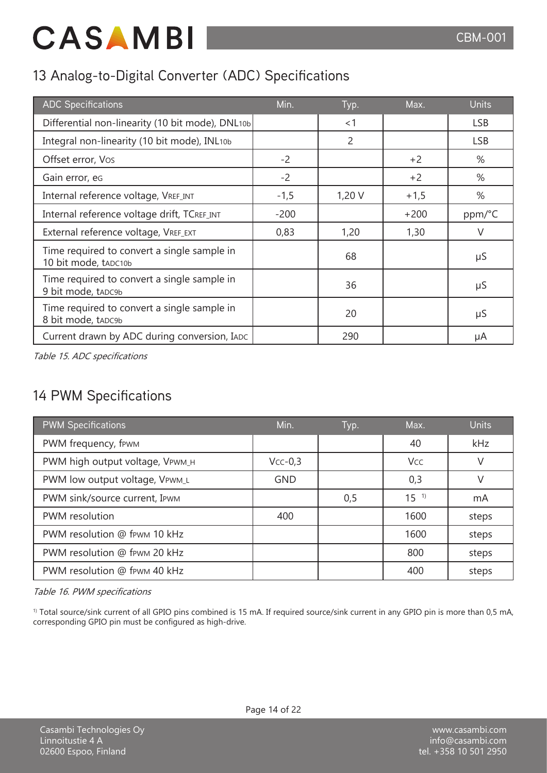## 13 Analog-to-Digital Converter (ADC) Specifications

| <b>ADC Specifications</b>                                           | Min.   | Typ.           | Max.   | <b>Units</b> |
|---------------------------------------------------------------------|--------|----------------|--------|--------------|
| Differential non-linearity (10 bit mode), DNL10b                    |        | < 1            |        | <b>LSB</b>   |
| Integral non-linearity (10 bit mode), INL10b                        |        | $\overline{2}$ |        | <b>LSB</b>   |
| Offset error, Vos                                                   | $-2$   |                | $+2$   | %            |
| Gain error, eg                                                      | $-2$   |                | $+2$   | %            |
| Internal reference voltage, VREF_INT                                | $-1,5$ | 1,20V          | $+1,5$ | %            |
| Internal reference voltage drift, TCREF_INT                         | $-200$ |                | $+200$ | ppm/°C       |
| External reference voltage, VREF_EXT                                | 0,83   | 1,20           | 1,30   | V            |
| Time required to convert a single sample in<br>10 bit mode, tapc10b |        | 68             |        | μS           |
| Time required to convert a single sample in<br>9 bit mode, tapc9b   |        | 36             |        | μS           |
| Time required to convert a single sample in<br>8 bit mode, tapc9b   |        | 20             |        | μS           |
| Current drawn by ADC during conversion, IADC                        |        | 290            |        | μA           |

Table 15. ADC specifications

## 14 PWM Specifications

| <b>PWM Specifications</b>       | Min.       | Typ. | Max.     | <b>Units</b> |
|---------------------------------|------------|------|----------|--------------|
| PWM frequency, fewm             |            |      | 40       | kHz          |
| PWM high output voltage, VPWM_H | $Vcc-0,3$  |      | Vcc      | V            |
| PWM low output voltage, VPWM_L  | <b>GND</b> |      | 0,3      | V            |
| PWM sink/source current, IPWM   |            | 0,5  | $15^{1}$ | mA           |
| PWM resolution                  | 400        |      | 1600     | steps        |
| PWM resolution @ fpwm 10 kHz    |            |      | 1600     | steps        |
| PWM resolution @ fewm 20 kHz    |            |      | 800      | steps        |
| PWM resolution @ fpwm 40 kHz    |            |      | 400      | steps        |

Table 16. PWM specifications

<sup>1)</sup> Total source/sink current of all GPIO pins combined is 15 mA. If required source/sink current in any GPIO pin is more than 0,5 mA, corresponding GPIO pin must be configured as high-drive.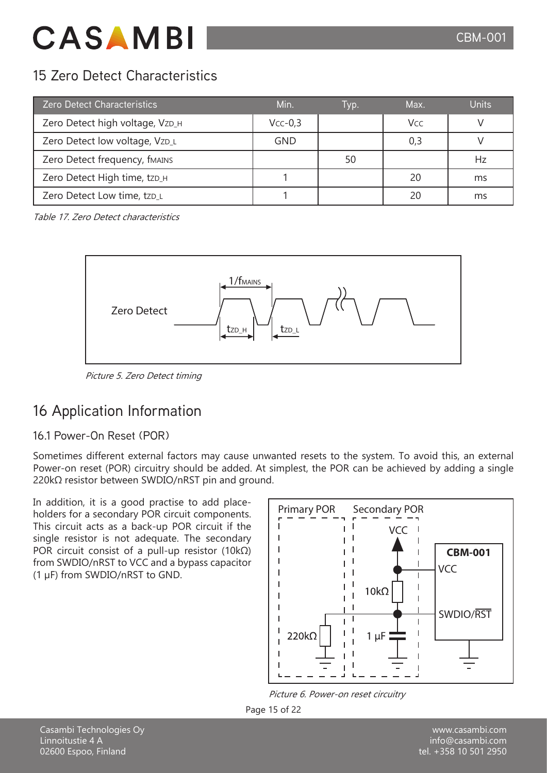## 15 Zero Detect Characteristics

| <b>Zero Detect Characteristics</b> | Min.       | Typ. | Max. | <b>Units</b> |
|------------------------------------|------------|------|------|--------------|
| Zero Detect high voltage, VzD_H    | $Vcc-0.3$  |      | Vcc  |              |
| Zero Detect low voltage, VzD_L     | <b>GND</b> |      | 0,3  |              |
| Zero Detect frequency, fMAINS      |            | 50   |      | Hz           |
| Zero Detect High time, tzp_H       |            |      | 20   | ms           |
| Zero Detect Low time, tzp_L        |            |      |      | ms           |

Table 17. Zero Detect characteristics



Picture 5. Zero Detect timing

## 16 Application Information

### 16.1 Power-On Reset (POR)

Sometimes different external factors may cause unwanted resets to the system. To avoid this, an external Power-on reset (POR) circuitry should be added. At simplest, the POR can be achieved by adding a single 220kΩ resistor between SWDIO/nRST pin and ground.

In addition, it is a good practise to add placeholders for a secondary POR circuit components. This circuit acts as a back-up POR circuit if the single resistor is not adequate. The secondary POR circuit consist of a pull-up resistor (10kΩ) from SWDIO/nRST to VCC and a bypass capacitor (1 µF) from SWDIO/nRST to GND.



Picture 6. Power-on reset circuitry



Casambi Technologies Oy Linnoitustie 4 A 02600 Espoo, Finland

www.casambi.com info@casambi.com tel. +358 10 501 2950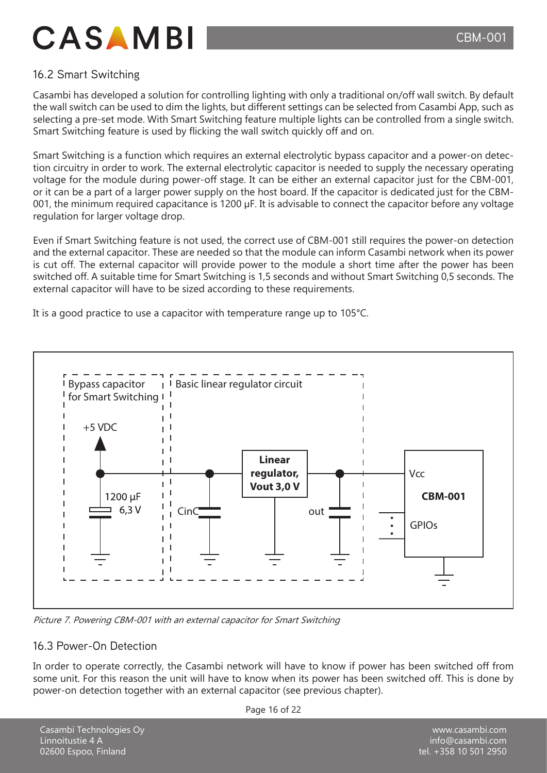### 16.2 Smart Switching

Casambi has developed a solution for controlling lighting with only a traditional on/off wall switch. By default the wall switch can be used to dim the lights, but different settings can be selected from Casambi App, such as selecting a pre-set mode. With Smart Switching feature multiple lights can be controlled from a single switch. Smart Switching feature is used by flicking the wall switch quickly off and on.

Smart Switching is a function which requires an external electrolytic bypass capacitor and a power-on detection circuitry in order to work. The external electrolytic capacitor is needed to supply the necessary operating voltage for the module during power-off stage. It can be either an external capacitor just for the CBM-001, or it can be a part of a larger power supply on the host board. If the capacitor is dedicated just for the CBM-001, the minimum required capacitance is 1200 µF. It is advisable to connect the capacitor before any voltage regulation for larger voltage drop.

Even if Smart Switching feature is not used, the correct use of CBM-001 still requires the power-on detection and the external capacitor. These are needed so that the module can inform Casambi network when its power is cut off. The external capacitor will provide power to the module a short time after the power has been switched off. A suitable time for Smart Switching is 1,5 seconds and without Smart Switching 0,5 seconds. The external capacitor will have to be sized according to these requirements.

It is a good practice to use a capacitor with temperature range up to 105°C.



Picture 7. Powering CBM-001 with an external capacitor for Smart Switching

#### 16.3 Power-On Detection

In order to operate correctly, the Casambi network will have to know if power has been switched off from some unit. For this reason the unit will have to know when its power has been switched off. This is done by power-on detection together with an external capacitor (see previous chapter).

Page 16 of 22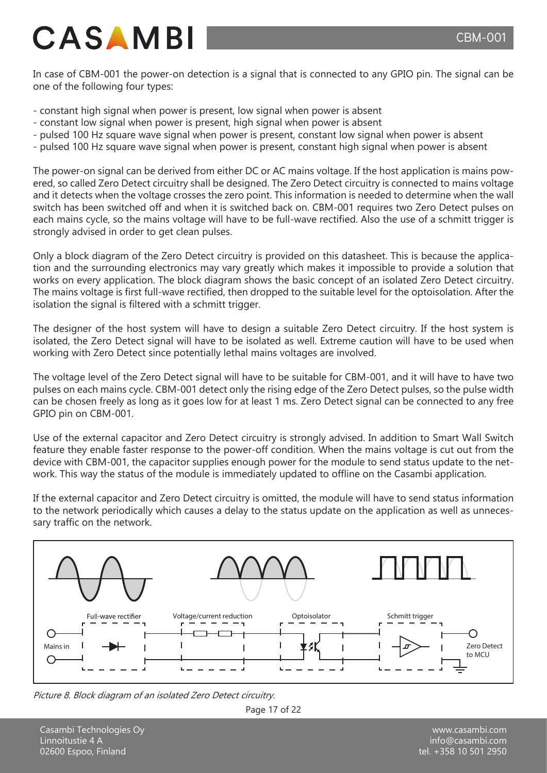In case of CBM-001 the power-on detection is a signal that is connected to any GPIO pin. The signal can be one of the following four types:

- constant high signal when power is present, low signal when power is absent
- constant low signal when power is present, high signal when power is absent
- pulsed 100 Hz square wave signal when power is present, constant low signal when power is absent
- pulsed 100 Hz square wave signal when power is present, constant high signal when power is absent

The power-on signal can be derived from either DC or AC mains voltage. If the host application is mains powered, so called Zero Detect circuitry shall be designed. The Zero Detect circuitry is connected to mains voltage and it detects when the voltage crosses the zero point. This information is needed to determine when the wall switch has been switched off and when it is switched back on. CBM-001 requires two Zero Detect pulses on each mains cycle, so the mains voltage will have to be full-wave rectified. Also the use of a schmitt trigger is strongly advised in order to get clean pulses.

Only a block diagram of the Zero Detect circuitry is provided on this datasheet. This is because the application and the surrounding electronics may vary greatly which makes it impossible to provide a solution that works on every application. The block diagram shows the basic concept of an isolated Zero Detect circuitry. The mains voltage is first full-wave rectified, then dropped to the suitable level for the optoisolation. After the isolation the signal is filtered with a schmitt trigger.

The designer of the host system will have to design a suitable Zero Detect circuitry. If the host system is isolated, the Zero Detect signal will have to be isolated as well. Extreme caution will have to be used when working with Zero Detect since potentially lethal mains voltages are involved.

The voltage level of the Zero Detect signal will have to be suitable for CBM-001, and it will have to have two pulses on each mains cycle. CBM-001 detect only the rising edge of the Zero Detect pulses, so the pulse width can be chosen freely as long as it goes low for at least 1 ms. Zero Detect signal can be connected to any free GPIO pin on CBM-001.

Use of the external capacitor and Zero Detect circuitry is strongly advised. In addition to Smart Wall Switch feature they enable faster response to the power-off condition. When the mains voltage is cut out from the device with CBM-001, the capacitor supplies enough power for the module to send status update to the network. This way the status of the module is immediately updated to offline on the Casambi application.

If the external capacitor and Zero Detect circuitry is omitted, the module will have to send status information to the network periodically which causes a delay to the status update on the application as well as unnecessary traffic on the network.



Picture 8. Block diagram of an isolated Zero Detect circuitry.



Casambi Technologies Oy Linnoitustie 4 A 02600 Espoo, Finland

www.casambi.com info@casambi.com tel. +358 10 501 2950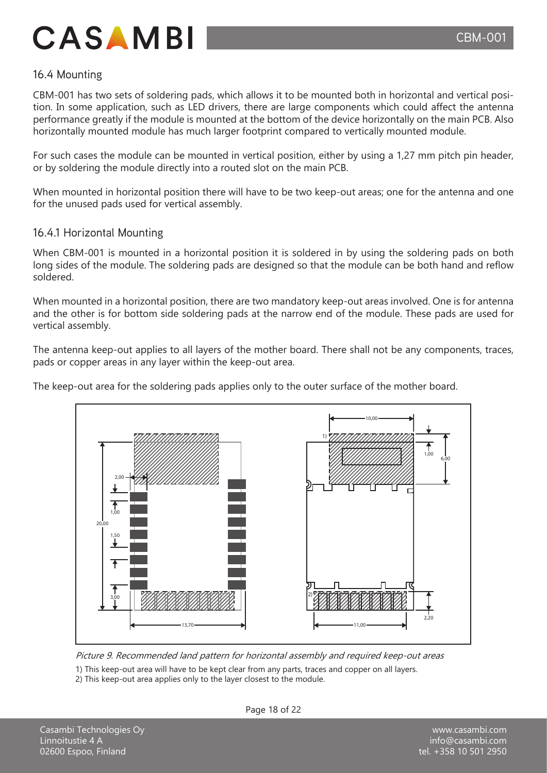#### 16.4 Mounting

CBM-001 has two sets of soldering pads, which allows it to be mounted both in horizontal and vertical position. In some application, such as LED drivers, there are large components which could affect the antenna performance greatly if the module is mounted at the bottom of the device horizontally on the main PCB. Also horizontally mounted module has much larger footprint compared to vertically mounted module.

For such cases the module can be mounted in vertical position, either by using a 1,27 mm pitch pin header, or by soldering the module directly into a routed slot on the main PCB.

When mounted in horizontal position there will have to be two keep-out areas; one for the antenna and one for the unused pads used for vertical assembly.

#### 16.4.1 Horizontal Mounting

When CBM-001 is mounted in a horizontal position it is soldered in by using the soldering pads on both long sides of the module. The soldering pads are designed so that the module can be both hand and reflow soldered.

When mounted in a horizontal position, there are two mandatory keep-out areas involved. One is for antenna and the other is for bottom side soldering pads at the narrow end of the module. These pads are used for vertical assembly.

The antenna keep-out applies to all layers of the mother board. There shall not be any components, traces, pads or copper areas in any layer within the keep-out area.

The keep-out area for the soldering pads applies only to the outer surface of the mother board.



Picture 9. Recommended land pattern for horizontal assembly and required keep-out areas

1) This keep-out area will have to be kept clear from any parts, traces and copper on all layers.

2) This keep-out area applies only to the layer closest to the module.

Page 18 of 22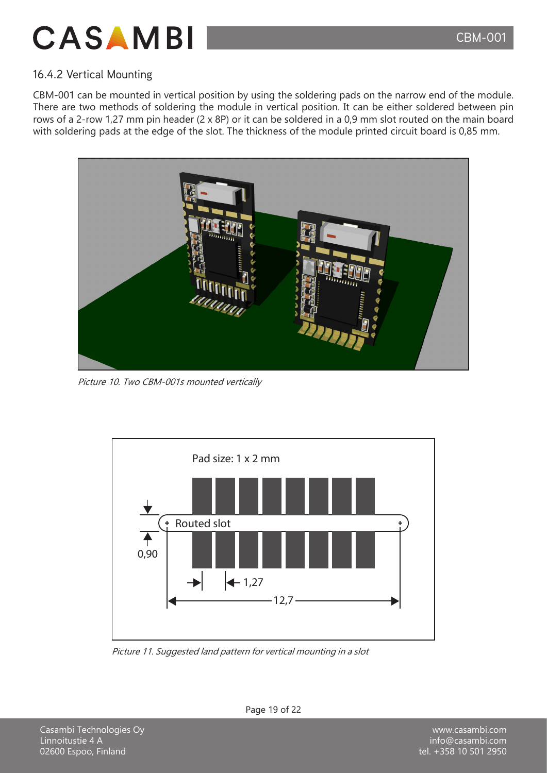

### 16.4.2 Vertical Mounting

CBM-001 can be mounted in vertical position by using the soldering pads on the narrow end of the module. There are two methods of soldering the module in vertical position. It can be either soldered between pin rows of a 2-row 1,27 mm pin header (2 x 8P) or it can be soldered in a 0,9 mm slot routed on the main board with soldering pads at the edge of the slot. The thickness of the module printed circuit board is 0,85 mm.



Picture 10. Two CBM-001s mounted vertically



Picture 11. Suggested land pattern for vertical mounting in a slot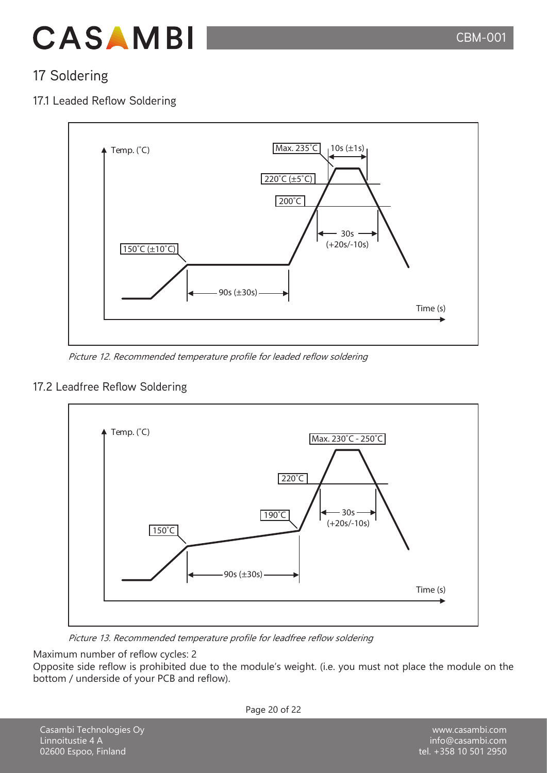

## 17 Soldering

### 17.1 Leaded Reflow Soldering



Picture 12. Recommended temperature profile for leaded reflow soldering

#### 17.2 Leadfree Reflow Soldering



Picture 13. Recommended temperature profile for leadfree reflow soldering

Maximum number of reflow cycles: 2

Opposite side reflow is prohibited due to the module's weight. (i.e. you must not place the module on the bottom / underside of your PCB and reflow).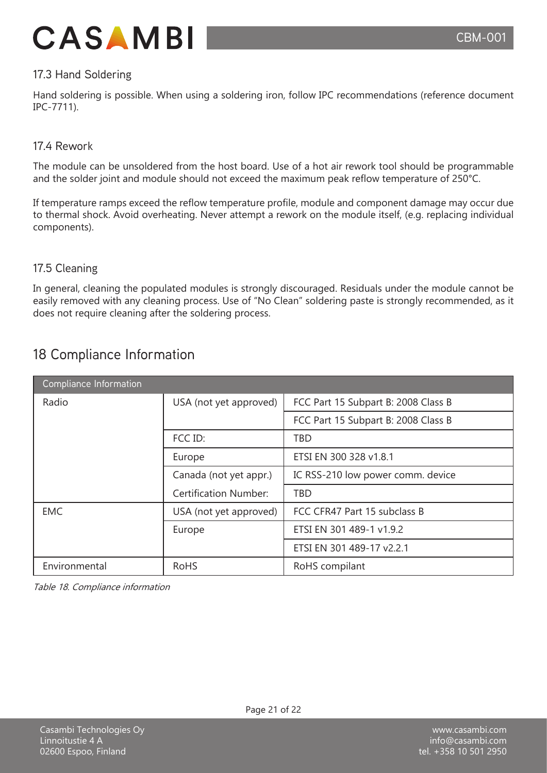

#### 17.3 Hand Soldering

Hand soldering is possible. When using a soldering iron, follow IPC recommendations (reference document IPC-7711).

#### 17.4 Rework

The module can be unsoldered from the host board. Use of a hot air rework tool should be programmable and the solder joint and module should not exceed the maximum peak reflow temperature of 250°C.

If temperature ramps exceed the reflow temperature profile, module and component damage may occur due to thermal shock. Avoid overheating. Never attempt a rework on the module itself, (e.g. replacing individual components).

#### 17.5 Cleaning

In general, cleaning the populated modules is strongly discouraged. Residuals under the module cannot be easily removed with any cleaning process. Use of "No Clean" soldering paste is strongly recommended, as it does not require cleaning after the soldering process.

|  | 18 Compliance Information |  |
|--|---------------------------|--|
|  |                           |  |

| Compliance Information |                              |                                     |
|------------------------|------------------------------|-------------------------------------|
| Radio                  | USA (not yet approved)       | FCC Part 15 Subpart B: 2008 Class B |
|                        |                              | FCC Part 15 Subpart B: 2008 Class B |
|                        | FCC ID:                      | <b>TBD</b>                          |
|                        | Europe                       | ETSI EN 300 328 v1.8.1              |
|                        | Canada (not yet appr.)       | IC RSS-210 low power comm. device   |
|                        | <b>Certification Number:</b> | <b>TBD</b>                          |
| <b>EMC</b>             | USA (not yet approved)       | FCC CFR47 Part 15 subclass B        |
|                        | Europe                       | ETSI EN 301 489-1 v1.9.2            |
|                        |                              | ETSI EN 301 489-17 v2.2.1           |
| Environmental          | <b>RoHS</b>                  | RoHS compilant                      |

Table 18. Compliance information